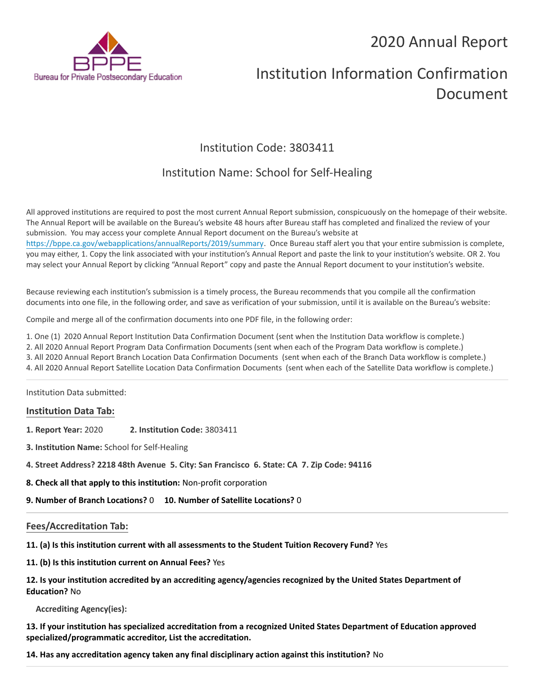# 2020 Annual Report



# Institution Information Confirmation Document

# Institution Code: 3803411

# Institution Name: School for Self-Healing

All approved institutions are required to post the most current Annual Report submission, conspicuously on the homepage of their website. The Annual Report will be available on the Bureau's website 48 hours after Bureau staff has completed and finalized the review of your submission. You may access your complete Annual Report document on the Bureau's website at <https://bppe.ca.gov/webapplications/annualReports/2019/summary>. Once Bureau staff alert you that your entire submission is complete, you may either, 1. Copy the link associated with your institution's Annual Report and paste the link to your institution's website. OR 2. You may select your Annual Report by clicking "Annual Report" copy and paste the Annual Report document to your institution's website.

Because reviewing each institution's submission is a timely process, the Bureau recommends that you compile all the confirmation documents into one file, in the following order, and save as verification of your submission, until it is available on the Bureau's website:

Compile and merge all of the confirmation documents into one PDF file, in the following order:

1. One (1) 2020 Annual Report Institution Data Confirmation Document (sent when the Institution Data workflow is complete.)

2. All 2020 Annual Report Program Data Confirmation Documents (sent when each of the Program Data workflow is complete.)

3. All 2020 Annual Report Branch Location Data Confirmation Documents (sent when each of the Branch Data workflow is complete.)

4. All 2020 Annual Report Satellite Location Data Confirmation Documents (sent when each of the Satellite Data workflow is complete.)

Institution Data submitted:

### **Institution Data Tab:**

- **1. Report Year:** 2020 **2. Institution Code:** 3803411
- **3. Institution Name:** School for Self-Healing
- **4. Street Address? 2218 48th Avenue 5. City: San Francisco 6. State: CA 7. Zip Code: 94116**
- **8. Check all that apply to this institution:** Non-profit corporation
- **9. Number of Branch Locations?** 0 **10. Number of Satellite Locations?** 0

# **Fees/Accreditation Tab:**

**11. (a) Is this institution current with all assessments to the Student Tuition Recovery Fund?** Yes

**11. (b) Is this institution current on Annual Fees?** Yes

| 12. Is your institution accredited by an accrediting agency/agencies recognized by the United States Department of |  |
|--------------------------------------------------------------------------------------------------------------------|--|
| <b>Education? No</b>                                                                                               |  |

**Accrediting Agency(ies):**

**13. If your institution has specialized accreditation from a recognized United States Department of Education approved specialized/programmatic accreditor, List the accreditation.**

**14. Has any accreditation agency taken any final disciplinary action against this institution?** No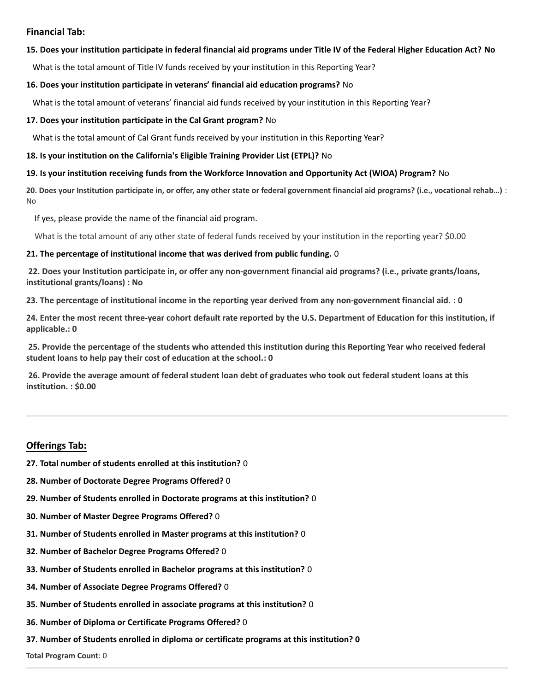## **Financial Tab:**

#### **15. Does your institution participate in federal financial aid programs under Title IV of the Federal Higher Education Act? No**

What is the total amount of Title IV funds received by your institution in this Reporting Year?

#### **16. Does your institution participate in veterans' financial aid education programs?** No

What is the total amount of veterans' financial aid funds received by your institution in this Reporting Year?

#### **17. Does your institution participate in the Cal Grant program?** No

What is the total amount of Cal Grant funds received by your institution in this Reporting Year?

#### **18. Is your institution on the California's Eligible Training Provider List (ETPL)?** No

#### **19. Is your institution receiving funds from the Workforce Innovation and Opportunity Act (WIOA) Program?** No

**20. Does your Institution participate in, or offer, any other state or federal government financial aid programs? (i.e., vocational rehab…)** : No

If yes, please provide the name of the financial aid program.

What is the total amount of any other state of federal funds received by your institution in the reporting year? \$0.00

#### **21. The percentage of institutional income that was derived from public funding.** 0

**22. Does your Institution participate in, or offer any non-government financial aid programs? (i.e., private grants/loans, institutional grants/loans) : No**

**23. The percentage of institutional income in the reporting year derived from any non-government financial aid. : 0**

**24. Enter the most recent three-year cohort default rate reported by the U.S. Department of Education for this institution, if applicable.: 0**

**25. Provide the percentage of the students who attended this institution during this Reporting Year who received federal student loans to help pay their cost of education at the school.: 0**

**26. Provide the average amount of federal student loan debt of graduates who took out federal student loans at this institution. : \$0.00**

### **Offerings Tab:**

- **27. Total number of students enrolled at this institution?** 0
- **28. Number of Doctorate Degree Programs Offered?** 0
- **29. Number of Students enrolled in Doctorate programs at this institution?** 0
- **30. Number of Master Degree Programs Offered?** 0
- **31. Number of Students enrolled in Master programs at this institution?** 0
- **32. Number of Bachelor Degree Programs Offered?** 0
- **33. Number of Students enrolled in Bachelor programs at this institution?** 0
- **34. Number of Associate Degree Programs Offered?** 0
- **35. Number of Students enrolled in associate programs at this institution?** 0
- **36. Number of Diploma or Certificate Programs Offered?** 0
- **37. Number of Students enrolled in diploma or certificate programs at this institution? 0**